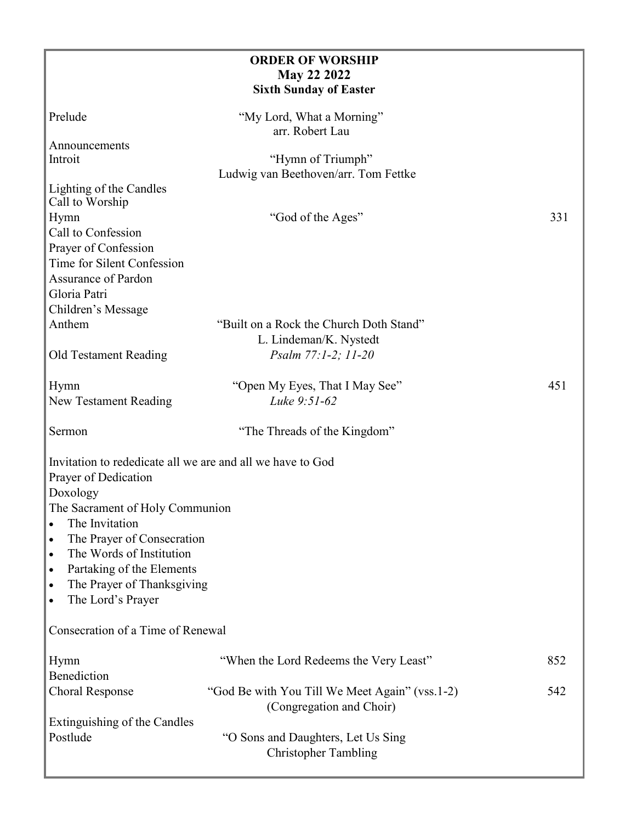|                                                            | <b>ORDER OF WORSHIP</b>                                                    |     |
|------------------------------------------------------------|----------------------------------------------------------------------------|-----|
|                                                            | <b>May 22 2022</b>                                                         |     |
|                                                            | <b>Sixth Sunday of Easter</b>                                              |     |
| Prelude                                                    | "My Lord, What a Morning"<br>arr. Robert Lau                               |     |
| Announcements                                              |                                                                            |     |
| Introit                                                    | "Hymn of Triumph"                                                          |     |
|                                                            | Ludwig van Beethoven/arr. Tom Fettke                                       |     |
| Lighting of the Candles<br>Call to Worship                 |                                                                            |     |
| Hymn                                                       | "God of the Ages"                                                          | 331 |
| Call to Confession                                         |                                                                            |     |
| Prayer of Confession                                       |                                                                            |     |
| Time for Silent Confession                                 |                                                                            |     |
| Assurance of Pardon                                        |                                                                            |     |
| Gloria Patri                                               |                                                                            |     |
| Children's Message                                         |                                                                            |     |
| Anthem                                                     | "Built on a Rock the Church Doth Stand"<br>L. Lindeman/K. Nystedt          |     |
| Old Testament Reading                                      | Psalm 77:1-2; 11-20                                                        |     |
|                                                            |                                                                            |     |
| Hymn                                                       | "Open My Eyes, That I May See"                                             | 451 |
| New Testament Reading                                      | Luke 9:51-62                                                               |     |
| Sermon                                                     | "The Threads of the Kingdom"                                               |     |
|                                                            |                                                                            |     |
| Invitation to rededicate all we are and all we have to God |                                                                            |     |
| Prayer of Dedication                                       |                                                                            |     |
| Doxology                                                   |                                                                            |     |
| The Sacrament of Holy Communion                            |                                                                            |     |
| The Invitation<br>$\bullet$                                |                                                                            |     |
| The Prayer of Consecration<br>$\bullet$                    |                                                                            |     |
| The Words of Institution<br>$\bullet$                      |                                                                            |     |
| Partaking of the Elements<br>$\bullet$                     |                                                                            |     |
| The Prayer of Thanksgiving<br>$\bullet$                    |                                                                            |     |
| The Lord's Prayer<br>$\bullet$                             |                                                                            |     |
| Consecration of a Time of Renewal                          |                                                                            |     |
|                                                            |                                                                            | 852 |
| Hymn<br>Benediction                                        | "When the Lord Redeems the Very Least"                                     |     |
|                                                            |                                                                            | 542 |
| <b>Choral Response</b>                                     | "God Be with You Till We Meet Again" (vss.1-2)<br>(Congregation and Choir) |     |
| Extinguishing of the Candles                               |                                                                            |     |
| Postlude                                                   | "O Sons and Daughters, Let Us Sing<br><b>Christopher Tambling</b>          |     |
|                                                            |                                                                            |     |